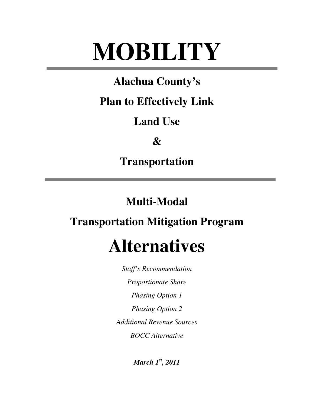# **MOBILITY**

### **Alachua County's**

### **Plan to Effectively Link**

### **Land Use**

### **&**

**Transportation** 

### **Multi-Modal**

### **Transportation Mitigation Program**

## **Alternatives**

*Staff's Recommendation Proportionate Share Phasing Option 1 Phasing Option 2 Additional Revenue Sources BOCC Alternative* 

*March 1st, 2011*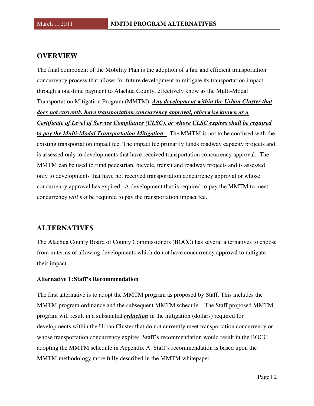#### **OVERVIEW**

The final component of the Mobility Plan is the adoption of a fair and efficient transportation concurrency process that allows for future development to mitigate its transportation impact through a one-time payment to Alachua County, effectively know as the Multi-Modal Transportation Mitigation Program (MMTM). *Any development within the Urban Cluster that does not currently have transportation concurrency approval, otherwise known as a Certificate of Level of Service Compliance (CLSC), or whose CLSC expires shall be required to pay the Multi-Modal Transportation Mitigation.* The MMTM is not to be confused with the existing transportation impact fee. The impact fee primarily funds roadway capacity projects and is assessed only to developments that have received transportation concurrency approval. The MMTM can be used to fund pedestrian, bicycle, transit and roadway projects and is assessed only to developments that have not received transportation concurrency approval or whose concurrency approval has expired. A development that is required to pay the MMTM to meet concurrency *will not* be required to pay the transportation impact fee.

#### **ALTERNATIVES**

The Alachua County Board of County Commissioners (BOCC) has several alternatives to choose from in terms of allowing developments which do not have concurrency approval to mitigate their impact.

#### **Alternative 1: Staff's Recommendation**

The first alternative is to adopt the MMTM program as proposed by Staff. This includes the MMTM program ordinance and the subsequent MMTM schedule. The Staff proposed MMTM program will result in a substantial *reduction* in the mitigation (dollars) required for developments within the Urban Cluster that do not currently meet transportation concurrency or whose transportation concurrency expires. Staff's recommendation would result in the BOCC adopting the MMTM schedule in Appendix A. Staff's recommendation is based upon the MMTM methodology more fully described in the MMTM whitepaper.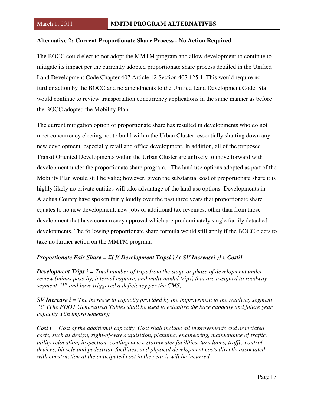#### **Alternative 2: Current Proportionate Share Process - No Action Required**

The BOCC could elect to not adopt the MMTM program and allow development to continue to mitigate its impact per the currently adopted proportionate share process detailed in the Unified Land Development Code Chapter 407 Article 12 Section 407.125.1. This would require no further action by the BOCC and no amendments to the Unified Land Development Code. Staff would continue to review transportation concurrency applications in the same manner as before the BOCC adopted the Mobility Plan.

The current mitigation option of proportionate share has resulted in developments who do not meet concurrency electing not to build within the Urban Cluster, essentially shutting down any new development, especially retail and office development. In addition, all of the proposed Transit Oriented Developments within the Urban Cluster are unlikely to move forward with development under the proportionate share program. The land use options adopted as part of the Mobility Plan would still be valid; however, given the substantial cost of proportionate share it is highly likely no private entities will take advantage of the land use options. Developments in Alachua County have spoken fairly loudly over the past three years that proportionate share equates to no new development, new jobs or additional tax revenues, other than from those development that have concurrency approval which are predominately single family detached developments. The following proportionate share formula would still apply if the BOCC elects to take no further action on the MMTM program.

#### *Proportionate Fair Share =* Σ*[ [( Development Tripsi ) / ( SV Increasei )] x Costi]*

*Development Trips i = Total number of trips from the stage or phase of development under review (minus pass-by, internal capture, and multi-modal trips) that are assigned to roadway segment "I" and have triggered a deficiency per the CMS;* 

*SV Increase i = The increase in capacity provided by the improvement to the roadway segment "i" (The FDOT Generalized Tables shall be used to establish the base capacity and future year capacity with improvements);* 

*Cost i = Cost of the additional capacity. Cost shall include all improvements and associated costs, such as design, right-of-way acquisition, planning, engineering, maintenance of traffic, utility relocation, inspection, contingencies, stormwater facilities, turn lanes, traffic control devices, bicycle and pedestrian facilities, and physical development costs directly associated with construction at the anticipated cost in the year it will be incurred.*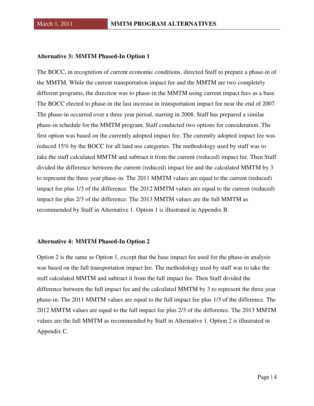#### **Alternative 3: MMTM Phased-In Option 1**

The BOCC, in recognition of current economic conditions, directed Staff to prepare a phase-in of the MMTM. While the current transportation impact fee and the MMTM are two completely different programs, the direction was to phase-in the MMTM using current impact fees as a base. The BOCC elected to phase-in the last increase in transportation impact fee near the end of 2007. The phase-in occurred over a three year period, starting in 2008. Staff has prepared a similar phase-in schedule for the MMTM program. Staff conducted two options for consideration. The first option was based on the currently adopted impact fee. The currently adopted impact fee was reduced 15% by the BOCC for all land use categories. The methodology used by staff was to take the staff calculated MMTM and subtract it from the current (reduced) impact fee. Then Staff divided the difference between the current (reduced) impact fee and the calculated MMTM by 3 to represent the three year phase-in. The 2011 MMTM values are equal to the current (reduced) impact fee plus 1/3 of the difference. The 2012 MMTM values are equal to the current (reduced) impact fee plus 2/3 of the difference. The 2013 MMTM values are the full MMTM as recommended by Staff in Alternative 1. Option 1 is illustrated in Appendix B.

#### **Alternative 4: MMTM Phased-In Option 2**

Option 2 is the same as Option 1, except that the base impact fee used for the phase-in analysis was based on the full transportation impact fee. The methodology used by staff was to take the staff calculated MMTM and subtract it from the full impact fee. Then Staff divided the difference between the full impact fee and the calculated MMTM by 3 to represent the three year phase-in. The 2011 MMTM values are equal to the full impact fee plus 1/3 of the difference. The 2012 MMTM values are equal to the full impact fee plus 2/3 of the difference. The 2013 MMTM values are the full MMTM as recommended by Staff in Alternative 1. Option 2 is illustrated in Appendix C.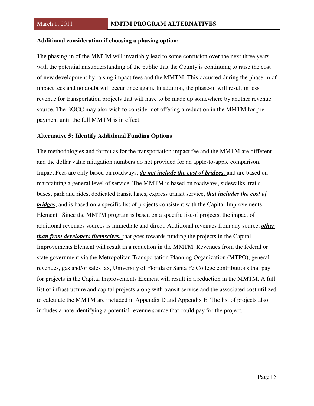#### **Additional consideration if choosing a phasing option:**

The phasing-in of the MMTM will invariably lead to some confusion over the next three years with the potential misunderstanding of the public that the County is continuing to raise the cost of new development by raising impact fees and the MMTM. This occurred during the phase-in of impact fees and no doubt will occur once again. In addition, the phase-in will result in less revenue for transportation projects that will have to be made up somewhere by another revenue source. The BOCC may also wish to consider not offering a reduction in the MMTM for prepayment until the full MMTM is in effect.

#### **Alternative 5: Identify Additional Funding Options**

The methodologies and formulas for the transportation impact fee and the MMTM are different and the dollar value mitigation numbers do not provided for an apple-to-apple comparison. Impact Fees are only based on roadways; *do not include the cost of bridges,* and are based on maintaining a general level of service. The MMTM is based on roadways, sidewalks, trails, buses, park and rides, dedicated transit lanes, express transit service, *that includes the cost of bridges*, and is based on a specific list of projects consistent with the Capital Improvements Element. Since the MMTM program is based on a specific list of projects, the impact of additional revenues sources is immediate and direct. Additional revenues from any source, *other than from developers themselves,* that goes towards funding the projects in the Capital Improvements Element will result in a reduction in the MMTM. Revenues from the federal or state government via the Metropolitan Transportation Planning Organization (MTPO), general revenues, gas and/or sales tax, University of Florida or Santa Fe College contributions that pay for projects in the Capital Improvements Element will result in a reduction in the MMTM. A full list of infrastructure and capital projects along with transit service and the associated cost utilized to calculate the MMTM are included in Appendix D and Appendix E. The list of projects also includes a note identifying a potential revenue source that could pay for the project.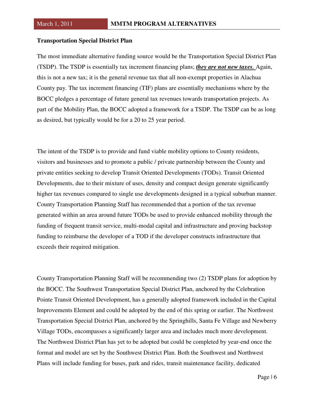#### **Transportation Special District Plan**

The most immediate alternative funding source would be the Transportation Special District Plan (TSDP). The TSDP is essentially tax increment financing plans; *they are not new taxes.* Again, this is not a new tax; it is the general revenue tax that all non-exempt properties in Alachua County pay. The tax increment financing (TIF) plans are essentially mechanisms where by the BOCC pledges a percentage of future general tax revenues towards transportation projects. As part of the Mobility Plan, the BOCC adopted a framework for a TSDP. The TSDP can be as long as desired, but typically would be for a 20 to 25 year period.

The intent of the TSDP is to provide and fund viable mobility options to County residents, visitors and businesses and to promote a public / private partnership between the County and private entities seeking to develop Transit Oriented Developments (TODs). Transit Oriented Developments, due to their mixture of uses, density and compact design generate significantly higher tax revenues compared to single use developments designed in a typical suburban manner. County Transportation Planning Staff has recommended that a portion of the tax revenue generated within an area around future TODs be used to provide enhanced mobility through the funding of frequent transit service, multi-modal capital and infrastructure and proving backstop funding to reimburse the developer of a TOD if the developer constructs infrastructure that exceeds their required mitigation.

County Transportation Planning Staff will be recommending two (2) TSDP plans for adoption by the BOCC. The Southwest Transportation Special District Plan, anchored by the Celebration Pointe Transit Oriented Development, has a generally adopted framework included in the Capital Improvements Element and could be adopted by the end of this spring or earlier. The Northwest Transportation Special District Plan, anchored by the Springhills, Santa Fe Village and Newberry Village TODs, encompasses a significantly larger area and includes much more development. The Northwest District Plan has yet to be adopted but could be completed by year-end once the format and model are set by the Southwest District Plan. Both the Southwest and Northwest Plans will include funding for buses, park and rides, transit maintenance facility, dedicated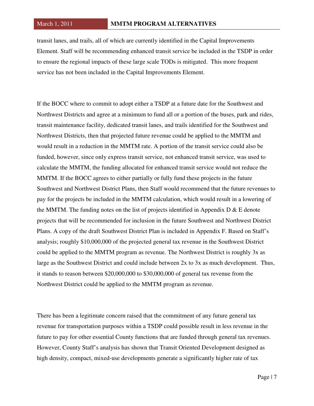transit lanes, and trails, all of which are currently identified in the Capital Improvements Element. Staff will be recommending enhanced transit service be included in the TSDP in order to ensure the regional impacts of these large scale TODs is mitigated. This more frequent service has not been included in the Capital Improvements Element.

If the BOCC where to commit to adopt either a TSDP at a future date for the Southwest and Northwest Districts and agree at a minimum to fund all or a portion of the buses, park and rides, transit maintenance facility, dedicated transit lanes, and trails identified for the Southwest and Northwest Districts, then that projected future revenue could be applied to the MMTM and would result in a reduction in the MMTM rate. A portion of the transit service could also be funded, however, since only express transit service, not enhanced transit service, was used to calculate the MMTM, the funding allocated for enhanced transit service would not reduce the MMTM. If the BOCC agrees to either partially or fully fund these projects in the future Southwest and Northwest District Plans, then Staff would recommend that the future revenues to pay for the projects be included in the MMTM calculation, which would result in a lowering of the MMTM. The funding notes on the list of projects identified in Appendix  $D \& E$  denote projects that will be recommended for inclusion in the future Southwest and Northwest District Plans. A copy of the draft Southwest District Plan is included in Appendix F. Based on Staff's analysis; roughly \$10,000,000 of the projected general tax revenue in the Southwest District could be applied to the MMTM program as revenue. The Northwest District is roughly 3x as large as the Southwest District and could include between 2x to 3x as much development. Thus, it stands to reason between \$20,000,000 to \$30,000,000 of general tax revenue from the Northwest District could be applied to the MMTM program as revenue.

There has been a legitimate concern raised that the commitment of any future general tax revenue for transportation purposes within a TSDP could possible result in less revenue in the future to pay for other essential County functions that are funded through general tax revenues. However, County Staff's analysis has shown that Transit Oriented Development designed as high density, compact, mixed-use developments generate a significantly higher rate of tax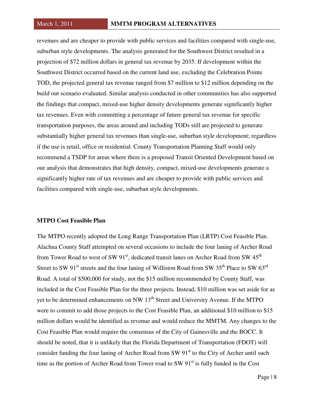revenues and are cheaper to provide with public services and facilities compared with single-use, suburban style developments. The analysis generated for the Southwest District resulted in a projection of \$72 million dollars in general tax revenue by 2035. If development within the Southwest District occurred based on the current land use, excluding the Celebration Pointe TOD, the projected general tax revenue ranged from \$7 million to \$12 million depending on the build out scenario evaluated. Similar analysis conducted in other communities has also supported the findings that compact, mixed-use higher density developments generate significantly higher tax revenues. Even with committing a percentage of future general tax revenue for specific transportation purposes, the areas around and including TODs still are projected to generate substantially higher general tax revenues than single-use, suburban style development; regardless if the use is retail, office or residential. County Transportation Planning Staff would only recommend a TSDP for areas where there is a proposed Transit Oriented Development based on our analysis that demonstrates that high density, compact, mixed-use developments generate a significantly higher rate of tax revenues and are cheaper to provide with public services and facilities compared with single-use, suburban style developments.

#### **MTPO Cost Feasible Plan**

The MTPO recently adopted the Long Range Transportation Plan (LRTP) Cost Feasible Plan. Alachua County Staff attempted on several occasions to include the four laning of Archer Road from Tower Road to west of SW  $91<sup>st</sup>$ , dedicated transit lanes on Archer Road from SW  $45<sup>th</sup>$ Street to SW 91<sup>st</sup> streets and the four laning of Williston Road from SW 35<sup>th</sup> Place to SW 63<sup>rd</sup> Road. A total of \$500,000 for study, not the \$15 million recommended by County Staff, was included in the Cost Feasible Plan for the three projects. Instead, \$10 million was set aside for as yet to be determined enhancements on NW 13<sup>th</sup> Street and University Avenue. If the MTPO were to commit to add those projects to the Cost Feasible Plan, an additional \$10 million to \$15 million dollars would be identified as revenue and would reduce the MMTM. Any changes to the Cost Feasible Plan would require the consensus of the City of Gainesville and the BOCC. It should be noted, that it is unlikely that the Florida Department of Transportation (FDOT) will consider funding the four laning of Archer Road from SW  $91<sup>st</sup>$  to the City of Archer until such time as the portion of Archer Road from Tower road to SW  $91<sup>st</sup>$  is fully funded in the Cost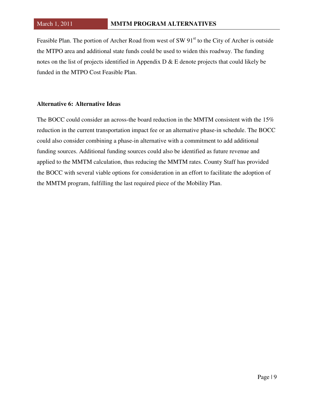Feasible Plan. The portion of Archer Road from west of SW 91<sup>st</sup> to the City of Archer is outside the MTPO area and additional state funds could be used to widen this roadway. The funding notes on the list of projects identified in Appendix D & E denote projects that could likely be funded in the MTPO Cost Feasible Plan.

#### **Alternative 6: Alternative Ideas**

The BOCC could consider an across-the board reduction in the MMTM consistent with the 15% reduction in the current transportation impact fee or an alternative phase-in schedule. The BOCC could also consider combining a phase-in alternative with a commitment to add additional funding sources. Additional funding sources could also be identified as future revenue and applied to the MMTM calculation, thus reducing the MMTM rates. County Staff has provided the BOCC with several viable options for consideration in an effort to facilitate the adoption of the MMTM program, fulfilling the last required piece of the Mobility Plan.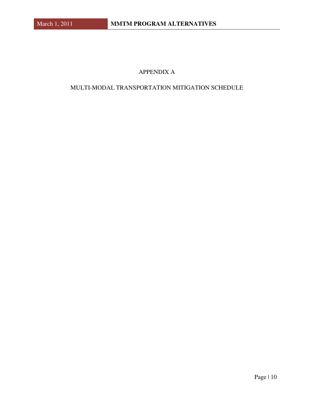#### APPENDIX A

#### MULTI-MODAL TRANSPORTATION MITIGATION SCHEDULE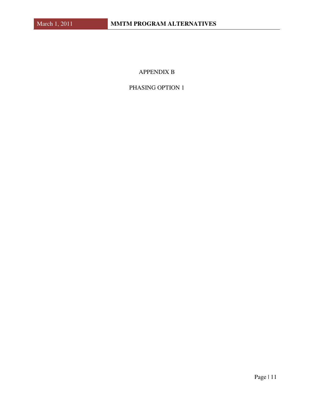#### APPENDIX B

#### PHASING OPTION 1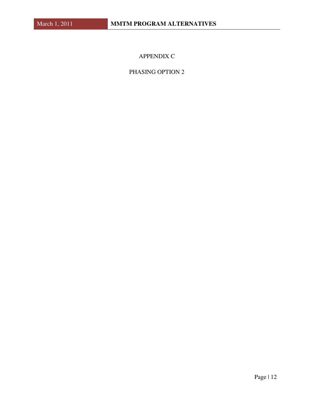APPENDIX C

PHASING OPTION 2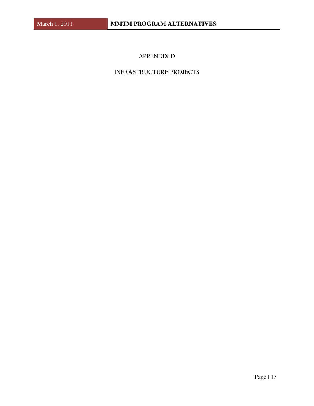#### APPENDIX D

#### INFRASTRUCTURE PROJECTS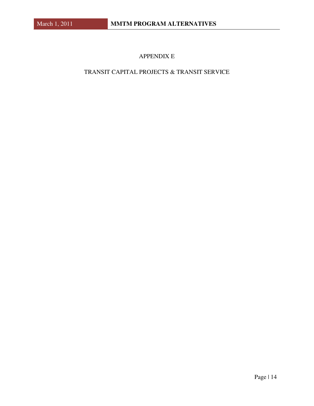#### APPENDIX E

#### TRANSIT CAPITAL PROJECTS & TRANSIT SERVICE